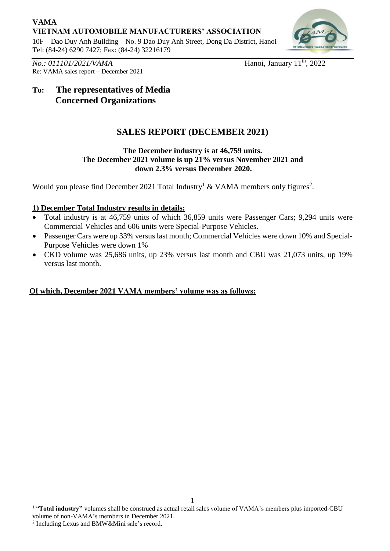## **VAMA VIETNAM AUTOMOBILE MANUFACTURERS' ASSOCIATION**

10F – Dao Duy Anh Building – No. 9 Dao Duy Anh Street, Dong Da District, Hanoi Tel: (84-24) 6290 7427; Fax: (84-24) 32216179



*No.: 011101/2021/VAMA* Re: VAMA sales report – December 2021 Hanoi, January  $11<sup>th</sup>$ , 2022

# **To: The representatives of Media Concerned Organizations**

## **SALES REPORT (DECEMBER 2021)**

#### **The December industry is at 46,759 units. The December 2021 volume is up 21% versus November 2021 and down 2.3% versus December 2020.**

Would you please find December 2021 Total Industry<sup>1</sup> & VAMA members only figures<sup>2</sup>.

### **1) December Total Industry results in details:**

- Total industry is at 46,759 units of which 36,859 units were Passenger Cars; 9,294 units were Commercial Vehicles and 606 units were Special-Purpose Vehicles.
- Passenger Cars were up 33% versus last month; Commercial Vehicles were down 10% and Special-Purpose Vehicles were down 1%
- CKD volume was 25,686 units, up 23% versus last month and CBU was 21,073 units, up 19% versus last month.

### **Of which, December 2021 VAMA members' volume was as follows:**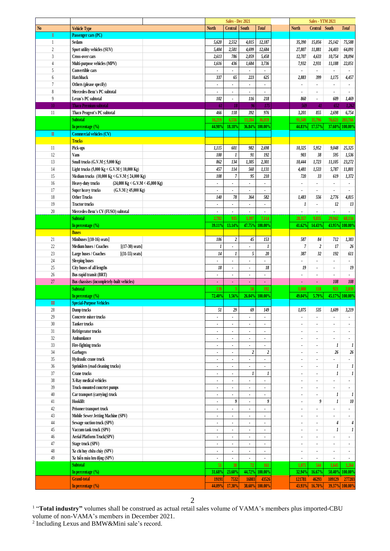|                        |                                                                |                | Sales - Dec 2021         |                          |                          |                          | <b>Sales - YTM 2021</b>  |                          |                     |
|------------------------|----------------------------------------------------------------|----------------|--------------------------|--------------------------|--------------------------|--------------------------|--------------------------|--------------------------|---------------------|
| N <sub>0</sub>         | <b>Vehicle Type</b>                                            | <b>North</b>   | Central                  | <b>South</b>             | <b>Total</b>             | <b>North</b>             | Central South            |                          | <b>Total</b>        |
| I                      | Passenger cars (PC)                                            |                |                          |                          |                          |                          |                          |                          |                     |
| 1                      | <b>Sedans</b>                                                  | 5,620          | 2,552                    | 4,015                    | 12,187                   | 35,390                   | 15,056                   | 25,142                   | 75,588              |
| $\overline{c}$         | Sport utility vehicles (SUV)                                   | 5,404          | 2,581                    | 4,699                    | 12,684                   | 27,807                   | 11,881                   | 24,403                   | 64,091              |
| $\overline{3}$         | <b>Cross-over cars</b>                                         | 2,613          | 786                      | 2,059                    | 5,458                    |                          |                          | 10,754                   | 28,094              |
|                        |                                                                |                |                          |                          |                          | 12,707                   | 4,633                    |                          |                     |
| $\overline{4}$         | Multi-purpose vehicles (MPV)                                   | 1,616          | 436                      | 1,684                    | 3,736                    | 7,932                    | 2,931                    | 11,188                   | 22,051              |
| 5                      | Convertible cars                                               |                |                          |                          |                          | $\blacksquare$           | $\blacksquare$           | $\blacksquare$           |                     |
| 6                      | Hatchback                                                      | 337            | 65                       | 223                      | 625                      | 2,883                    | 399                      | 1,175                    | 4,457               |
| $\overline{7}$         | Others (please specify)                                        | $\blacksquare$ |                          | ٠                        | ٠                        | $\blacksquare$           | $\overline{\phantom{a}}$ | $\blacksquare$           |                     |
| 8                      | Mercedes-Benz's PC subtotal                                    | $\bullet$      | $\overline{\phantom{a}}$ | $\blacksquare$           | ä,                       |                          |                          |                          | ÷,                  |
| 9                      | Lexus's PC subtotal                                            | 102            | ٠                        | 116                      | 218                      | 860                      | $\blacksquare$           | 609                      | 1,469               |
|                        |                                                                |                |                          |                          |                          |                          |                          | 652                      |                     |
| 10 <sup>°</sup>        | <b>Thaco Premium subtotal</b>                                  | 61             | 18                       | 96                       | 175                      | 569                      | 41                       |                          | 1,262               |
| 11                     | Thaco Peugeot's PC subtotal                                    | 466            | 118                      | 392                      | 976                      | 3,201                    | 855                      | 2,698                    | 6,754               |
|                        | <b>Subtotal</b>                                                | 16,219         | 6,556                    | 13,284                   | 36,059                   | 91,349                   | 35,796                   | 76,621                   | 203,766             |
|                        | In percentage (%)                                              | 44.98%         | 18.18%                   |                          | 36.84% 100.00%           | 44.83%                   | 17.57%                   | 37.60%                   | 100.00 <sup>%</sup> |
| $\rm I\hspace{-.1em}I$ | <b>Commercial vehicles (CV)</b>                                |                |                          |                          |                          |                          |                          |                          |                     |
|                        | <b>Trucks</b>                                                  |                |                          |                          |                          |                          |                          |                          |                     |
| 11                     | Pick-ups                                                       | 1,115          | 601                      | 982                      | 2,698                    | 10,325                   | 5,952                    | 9,048                    | 25,325              |
| 12                     |                                                                | 100            |                          | 91                       | 192                      | 903                      | 38                       |                          |                     |
|                        | Vans                                                           |                | 1                        |                          |                          |                          |                          | 595                      | 1,536               |
| 13                     | Small trucks $(G.V.M \le 5,000 Kg)$                            | 862            | 134                      | 1,305                    | 2,301                    | 10,444                   | 1,723                    | 11,105                   | 23,272              |
| 14                     | Light trucks (5,000 Kg < G.V.M $\leq$ 10,000 Kg)               | 457            | 114                      | 560                      | 1,131                    | 4,481                    | 1,533                    | 5,787                    | 11,801              |
| 15                     | Medium trucks (10,000 Kg < G.V.M $\leq$ 24,000 Kg)             | 108            | $\overline{7}$           | 95                       | 210                      | 720                      | 33                       | 619                      | 1,372               |
| 16                     | Heavy-duty trucks<br>$(24,000 \text{ kg} <$ G.V.M < 45,000 Kg) | $\blacksquare$ | ٠                        | ٠                        | $\blacksquare$           | $\blacksquare$           | $\blacksquare$           | $\blacksquare$           | ٠                   |
| 17                     | Super heavy trucks<br>$(G.V.M \ge 45,000 Kg)$                  |                |                          |                          |                          |                          | $\overline{\phantom{a}}$ |                          |                     |
|                        | <b>Other Trucks</b>                                            |                | 78                       | 364                      | 582                      |                          |                          |                          |                     |
| 18                     |                                                                | 140            |                          |                          |                          | 1,483                    | 556                      | 2,776                    | 4,815               |
| 19                     | <b>Tractor trucks</b>                                          | $\blacksquare$ | $\blacksquare$           | $\blacksquare$           | $\blacksquare$           | 1                        | $\blacksquare$           | 12                       | 13                  |
| 20                     | Mercedes-Benz's CV (FUSO) subtotal                             |                |                          |                          |                          |                          |                          |                          |                     |
|                        | <b>Subtotal</b>                                                | 2,782          | 935                      | 3,397                    | 7,114                    | 28,357                   | 9.835                    | 29,942                   | 68,134              |
|                        | In percentage $(\% )$                                          | 39.11%         | 13.14%                   | 47.75%                   | 100.00%                  | 41.62%                   | 14.43%                   | 43.95%                   | 100.00%             |
|                        | <b>Buses</b>                                                   |                |                          |                          |                          |                          |                          |                          |                     |
| 21                     | Minibuses [(10-16) seats]                                      | 106            | $\boldsymbol{2}$         | 45                       | 153                      | 587                      | 84                       | 712                      | 1,383               |
|                        |                                                                |                |                          |                          |                          |                          |                          |                          |                     |
| $22\,$                 | Medium buses / Coaches<br>$[(17-30) \text{ seats}]$            | 1              |                          |                          | 1                        | $\boldsymbol{7}$         | $\boldsymbol{2}$         | 17                       | 26                  |
| 23                     | Large buses / Coaches<br>$[(31-55) \text{ seats}]$             | 14             | 1                        | 5                        | 20                       | 387                      | 32                       | 192                      | 611                 |
| 24                     | <b>Sleeping buses</b>                                          |                |                          |                          |                          |                          |                          |                          |                     |
| 25                     | City buses of all lengths                                      | $18$           | $\blacksquare$           | $\blacksquare$           | 18                       | 19                       | $\blacksquare$           | $\blacksquare$           | 19                  |
| $26$                   | Bus rapid transit (BRT)                                        | $\blacksquare$ | ٠                        | $\overline{\phantom{a}}$ | $\overline{\phantom{a}}$ |                          | $\blacksquare$           | $\blacksquare$           |                     |
| 27                     | Bus chassises (incompletely-built vehicles)                    | ä,             | ä,                       | ä,                       | ä,                       | ÷.                       | $\omega$                 | 108                      | 108                 |
|                        | <b>Subtotal</b>                                                | 139            |                          | 50                       | 192                      |                          |                          | 921                      | 2,039               |
|                        |                                                                |                | $\mathbf{3}$             |                          |                          | 1,000                    | 118                      |                          |                     |
|                        | In percentage (%)                                              | 72.40%         | 1.56%                    |                          | 26.04% 100.00%           | 49.04%                   | 5.79%                    | 45.17%                   | 100.00 <sup>o</sup> |
| $\mathbf{m}$           | <b>Special-Purpose Vehicles</b>                                |                |                          |                          |                          |                          |                          |                          |                     |
| 28                     | Dump trucks                                                    | 51             | 29                       | 69                       | 149                      | 1,075                    | 535                      | 1,609                    | 3,219               |
| 29                     | Concrete mixer trucks                                          | $\blacksquare$ | $\blacksquare$           | $\blacksquare$           | $\blacksquare$           | $\overline{\phantom{a}}$ | $\overline{\phantom{a}}$ | $\blacksquare$           | ٠                   |
| 30                     | <b>Tanker trucks</b>                                           | $\blacksquare$ |                          | $\overline{\phantom{a}}$ | ٠                        | $\bullet$                | $\blacksquare$           | $\overline{\phantom{a}}$ |                     |
| $31\,$                 | Refrigerator trucks                                            | $\blacksquare$ |                          | $\overline{\phantom{a}}$ | $\blacksquare$           |                          |                          | $\blacksquare$           |                     |
|                        |                                                                |                |                          |                          |                          |                          |                          |                          |                     |
| $32\,$                 | Ambumlance                                                     | $\blacksquare$ | ٠                        | $\blacksquare$           | ٠                        | $\blacksquare$           | $\overline{\phantom{a}}$ | $\blacksquare$           | $\blacksquare$      |
| $33\,$                 | Fire-fighting trucks                                           | $\blacksquare$ | $\overline{\phantom{a}}$ | ٠                        | $\overline{\phantom{a}}$ | $\blacksquare$           | $\overline{\phantom{a}}$ | 1                        | 1                   |
| 34                     | Garbages                                                       | $\blacksquare$ |                          | $\boldsymbol{2}$         | $\boldsymbol{2}$         | $\blacksquare$           | $\blacksquare$           | 26                       | 26                  |
| 35                     | Hydraulic crane truck                                          | $\blacksquare$ |                          |                          | ä,                       | $\blacksquare$           | $\blacksquare$           |                          |                     |
| $36\,$                 | Sprinklers (road cleaning trucks)                              | $\blacksquare$ |                          | $\overline{\phantom{a}}$ | ä,                       |                          | ÷,                       | $\boldsymbol{l}$         | 1                   |
| $37\,$                 | Crane trucks                                                   | $\blacksquare$ | $\blacksquare$           | 1                        | 1                        | $\blacksquare$           | $\blacksquare$           | 1                        | 1                   |
| $38\,$                 | X-Ray medical vehicles                                         |                |                          |                          |                          |                          |                          |                          |                     |
|                        |                                                                | $\blacksquare$ | ٠                        | ٠                        | ٠                        | $\blacksquare$           | $\overline{\phantom{a}}$ | $\blacksquare$           |                     |
| $39\,$                 | Truck-mounted concrtet pumps                                   | $\blacksquare$ | $\overline{\phantom{a}}$ | $\overline{\phantom{a}}$ | ٠                        | $\blacksquare$           | $\blacksquare$           | $\blacksquare$           |                     |
| $40\,$                 | Car transport (carrying) truck                                 | $\blacksquare$ |                          |                          | ٠                        | $\blacksquare$           | $\overline{\phantom{a}}$ | 1                        | 1                   |
| 41                     | Hooklift                                                       | $\blacksquare$ | 9                        | ä,                       | 9                        | ä,                       | 9                        | 1                        | 10                  |
| $42\,$                 | Prisoner transport truck                                       | $\bullet$      | $\blacksquare$           | $\blacksquare$           | ٠                        | $\blacksquare$           | $\blacksquare$           |                          |                     |
| $43\,$                 | Mobile Sewer Jetting Machine (SPV)                             | $\blacksquare$ | $\blacksquare$           | $\blacksquare$           | $\blacksquare$           | $\blacksquare$           | $\blacksquare$           | ٠                        | $\blacksquare$      |
| $44\,$                 | Sewage suction truck (SPV)                                     | $\blacksquare$ | $\blacksquare$           | ٠                        | ٠                        | $\blacksquare$           | $\blacksquare$           | 4                        | 4                   |
|                        |                                                                |                |                          |                          |                          |                          |                          |                          |                     |
| $45\,$                 | Vaccum tank truck (SPV)                                        | $\blacksquare$ |                          |                          | $\blacksquare$           | $\bullet$                | $\bullet$                | 1                        | $\boldsymbol{l}$    |
| $46\,$                 | Aerial Platform Truck(SPV)                                     | $\blacksquare$ | $\blacksquare$           | $\blacksquare$           | ä,                       | $\overline{a}$           | ÷,                       |                          |                     |
| 47                     | Stage truck (SPV)                                              | $\bullet$      | $\blacksquare$           | $\blacksquare$           | ٠                        | $\blacksquare$           | $\blacksquare$           | ٠                        | ٠                   |
| $48\,$                 | Xe chỉ huy chữa cháy (SPV)                                     | $\blacksquare$ | $\blacksquare$           | $\blacksquare$           | $\blacksquare$           | $\blacksquare$           | $\blacksquare$           | $\blacksquare$           | $\blacksquare$      |
| 49                     | Xe hiến máu lưu động (SPV)                                     | $\blacksquare$ | ٠                        | ٠                        | $\blacksquare$           | $\blacksquare$           | $\blacksquare$           | $\blacksquare$           | $\bullet$           |
|                        | <b>Subtotal</b>                                                | 51             | 38                       | 72                       | 161                      | 1,075                    | 544                      | 1,645                    | 3,264               |
|                        |                                                                |                |                          |                          |                          |                          |                          |                          |                     |
|                        | In percentage $(\% )$                                          | 31.68%         | 23.60%                   |                          | 44.72% 100.00%           | 32.94%                   | 16.67%                   | 50.40%                   | 100.00%             |
|                        | <b>Grand-total</b>                                             | 19191          | 7532                     | 16803                    | 43526                    | 121781                   | 46293                    | 109129                   | 277203              |
|                        | In percentage (%)                                              | 44.09%         | 17.30%                   |                          | 38.60% 100.00%           | 43.93%                   | 16.70%                   |                          | 39.37% 100.00%      |
|                        |                                                                |                |                          |                          |                          |                          |                          |                          |                     |

<sup>1</sup> "Total industry" volumes shall be construed as actual retail sales volume of VAMA's members plus imported-CBU

volume of non-VAMA's members in December 2021.<br><sup>2</sup> Including Lexus and BMW&Mini sale's record.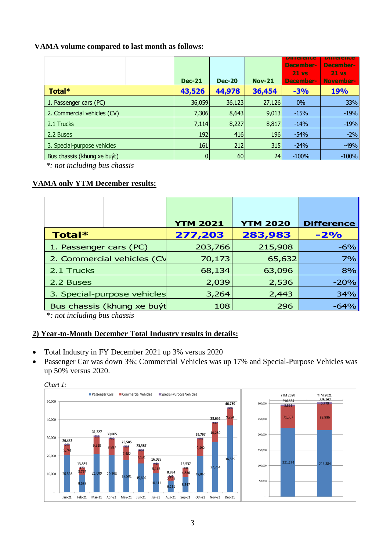#### **VAMA volume compared to last month as follows:**

|                             | <b>Dec-21</b>  | <b>Dec-20</b> | <b>Nov-21</b> | pinerence<br>December-<br>$21$ vs<br>December- | ршегнсе<br>December-<br>$21$ vs<br>November- |
|-----------------------------|----------------|---------------|---------------|------------------------------------------------|----------------------------------------------|
| Total*                      | 43,526         | 44,978        | 36,454        | $-3%$                                          | 19%                                          |
| 1. Passenger cars (PC)      | 36,059         | 36,123        | 27,126        | $0\%$                                          | 33%                                          |
| 2. Commercial vehicles (CV) | 7,306          | 8,643         | 9,013         | $-15%$                                         | $-19%$                                       |
| 2.1 Trucks                  | 7,114          | 8,227         | 8,817         | $-14%$                                         | $-19%$                                       |
| 2.2 Buses                   | 192            | 416           | 196           | $-54%$                                         | $-2%$                                        |
| 3. Special-purpose vehicles | 161            | 212           | 315           | $-24%$                                         | $-49%$                                       |
| Bus chassis (khung xe buyt) | $\overline{0}$ | 60            | 24            | $-100%$                                        | $-100%$                                      |

*\*: not including bus chassis*

#### **VAMA only YTM December results:**

|                             | <b>YTM 2021</b> | <b>YTM 2020</b> | <b>Difference</b> |
|-----------------------------|-----------------|-----------------|-------------------|
| <b>Total*</b>               | 277,203         | 283,983         | $-2%$             |
| 1. Passenger cars (PC)      | 203,766         | 215,908         | $-6%$             |
| 2. Commercial vehicles (CV  | 70,173          | 65,632          | 7%                |
| 2.1 Trucks                  | 68,134          | 63,096          | 8%                |
| 2.2 Buses                   | 2,039           | 2,536           | $-20%$            |
| 3. Special-purpose vehicles | 3,264           | 2,443           | 34%               |
| Bus chassis (khung xe buýt  | 108             | 296             | $-64%$            |

*\*: not including bus chassis*

### **2) Year-to-Month December Total Industry results in details:**

- Total Industry in FY December 2021 up 3% versus 2020
- Passenger Car was down 3%; Commercial Vehicles was up 17% and Special-Purpose Vehicles was up 50% versus 2020.



*Chart 1:*